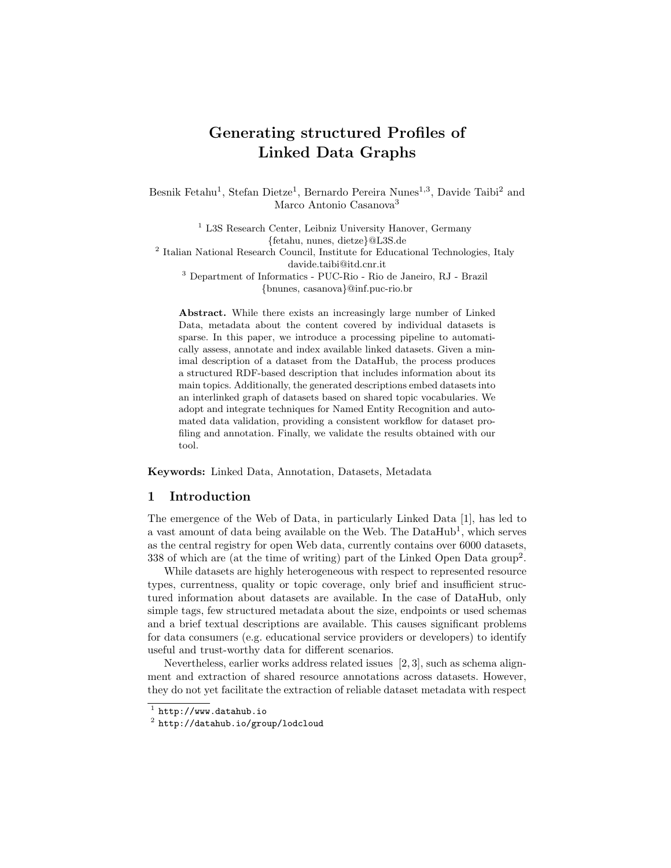# Generating structured Profiles of Linked Data Graphs

Besnik Fetahu<sup>1</sup>, Stefan Dietze<sup>1</sup>, Bernardo Pereira Nunes<sup>1,3</sup>, Davide Taibi<sup>2</sup> and Marco Antonio Casanova<sup>3</sup>

<sup>1</sup> L3S Research Center, Leibniz University Hanover, Germany {fetahu, nunes, dietze}@L3S.de <sup>2</sup> Italian National Research Council, Institute for Educational Technologies, Italy davide.taibi@itd.cnr.it <sup>3</sup> Department of Informatics - PUC-Rio - Rio de Janeiro, RJ - Brazil {bnunes, casanova}@inf.puc-rio.br

Abstract. While there exists an increasingly large number of Linked Data, metadata about the content covered by individual datasets is sparse. In this paper, we introduce a processing pipeline to automatically assess, annotate and index available linked datasets. Given a minimal description of a dataset from the DataHub, the process produces a structured RDF-based description that includes information about its main topics. Additionally, the generated descriptions embed datasets into an interlinked graph of datasets based on shared topic vocabularies. We adopt and integrate techniques for Named Entity Recognition and automated data validation, providing a consistent workflow for dataset profiling and annotation. Finally, we validate the results obtained with our tool.

Keywords: Linked Data, Annotation, Datasets, Metadata

# 1 Introduction

The emergence of the Web of Data, in particularly Linked Data [1], has led to a vast amount of data being available on the Web. The DataHub<sup>1</sup>, which serves as the central registry for open Web data, currently contains over 6000 datasets, 338 of which are (at the time of writing) part of the Linked Open Data group<sup>2</sup>.

While datasets are highly heterogeneous with respect to represented resource types, currentness, quality or topic coverage, only brief and insufficient structured information about datasets are available. In the case of DataHub, only simple tags, few structured metadata about the size, endpoints or used schemas and a brief textual descriptions are available. This causes significant problems for data consumers (e.g. educational service providers or developers) to identify useful and trust-worthy data for different scenarios.

Nevertheless, earlier works address related issues [2, 3], such as schema alignment and extraction of shared resource annotations across datasets. However, they do not yet facilitate the extraction of reliable dataset metadata with respect

 $^1$  http://www.datahub.io

 $^{\rm 2}$  http://datahub.io/group/lodcloud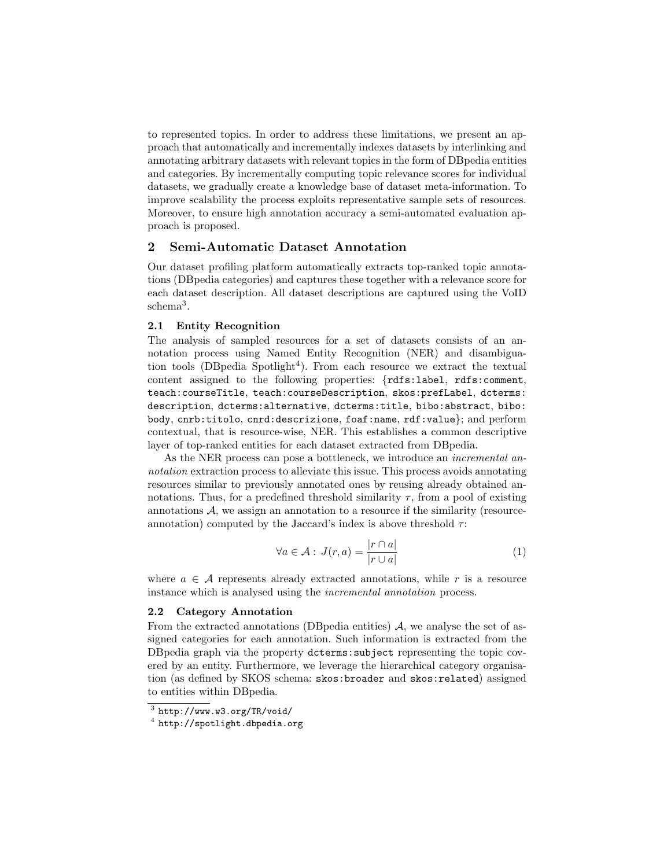to represented topics. In order to address these limitations, we present an approach that automatically and incrementally indexes datasets by interlinking and annotating arbitrary datasets with relevant topics in the form of DBpedia entities and categories. By incrementally computing topic relevance scores for individual datasets, we gradually create a knowledge base of dataset meta-information. To improve scalability the process exploits representative sample sets of resources. Moreover, to ensure high annotation accuracy a semi-automated evaluation approach is proposed.

# 2 Semi-Automatic Dataset Annotation

Our dataset profiling platform automatically extracts top-ranked topic annotations (DBpedia categories) and captures these together with a relevance score for each dataset description. All dataset descriptions are captured using the VoID schema<sup>3</sup> .

#### 2.1 Entity Recognition

The analysis of sampled resources for a set of datasets consists of an annotation process using Named Entity Recognition (NER) and disambiguation tools (DBpedia Spotlight<sup>4</sup>). From each resource we extract the textual content assigned to the following properties: {rdfs:label, rdfs:comment, teach:courseTitle, teach:courseDescription, skos:prefLabel, dcterms: description, dcterms:alternative, dcterms:title, bibo:abstract, bibo: body, cnrb:titolo, cnrd:descrizione, foaf:name, rdf:value}; and perform contextual, that is resource-wise, NER. This establishes a common descriptive layer of top-ranked entities for each dataset extracted from DBpedia.

As the NER process can pose a bottleneck, we introduce an incremental annotation extraction process to alleviate this issue. This process avoids annotating resources similar to previously annotated ones by reusing already obtained annotations. Thus, for a predefined threshold similarity  $\tau$ , from a pool of existing annotations  $A$ , we assign an annotation to a resource if the similarity (resourceannotation) computed by the Jaccard's index is above threshold  $\tau$ :

$$
\forall a \in \mathcal{A} : J(r, a) = \frac{|r \cap a|}{|r \cup a|} \tag{1}
$$

where  $a \in \mathcal{A}$  represents already extracted annotations, while r is a resource instance which is analysed using the incremental annotation process.

#### 2.2 Category Annotation

From the extracted annotations (DB pedia entities)  $A$ , we analyse the set of assigned categories for each annotation. Such information is extracted from the DBpedia graph via the property dcterms:subject representing the topic covered by an entity. Furthermore, we leverage the hierarchical category organisation (as defined by SKOS schema: skos:broader and skos:related) assigned to entities within DBpedia.

 $^3$  http://www.w3.org/TR/void/

 $^4$  http://spotlight.dbpedia.org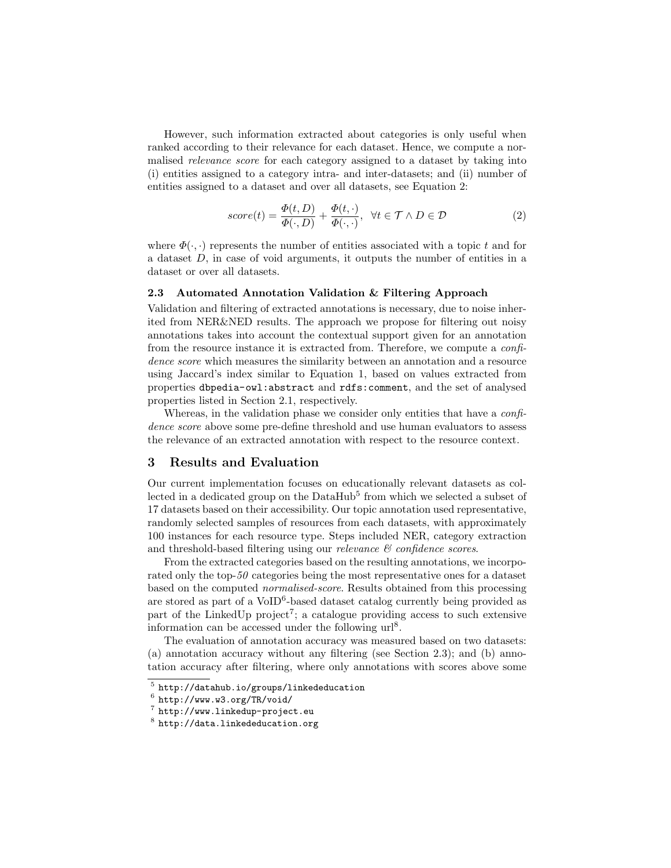However, such information extracted about categories is only useful when ranked according to their relevance for each dataset. Hence, we compute a normalised relevance score for each category assigned to a dataset by taking into (i) entities assigned to a category intra- and inter-datasets; and (ii) number of entities assigned to a dataset and over all datasets, see Equation 2:

$$
score(t) = \frac{\Phi(t, D)}{\Phi(\cdot, D)} + \frac{\Phi(t, \cdot)}{\Phi(\cdot, \cdot)}, \ \ \forall t \in \mathcal{T} \land D \in \mathcal{D}
$$
\n
$$
(2)
$$

where  $\Phi(\cdot, \cdot)$  represents the number of entities associated with a topic t and for a dataset  $D$ , in case of void arguments, it outputs the number of entities in a dataset or over all datasets.

### 2.3 Automated Annotation Validation & Filtering Approach

Validation and filtering of extracted annotations is necessary, due to noise inherited from NER&NED results. The approach we propose for filtering out noisy annotations takes into account the contextual support given for an annotation from the resource instance it is extracted from. Therefore, we compute a confidence score which measures the similarity between an annotation and a resource using Jaccard's index similar to Equation 1, based on values extracted from properties dbpedia-owl:abstract and rdfs:comment, and the set of analysed properties listed in Section 2.1, respectively.

Whereas, in the validation phase we consider only entities that have a *confi*dence score above some pre-define threshold and use human evaluators to assess the relevance of an extracted annotation with respect to the resource context.

## 3 Results and Evaluation

Our current implementation focuses on educationally relevant datasets as collected in a dedicated group on the  $\text{DataHub}^5$  from which we selected a subset of 17 datasets based on their accessibility. Our topic annotation used representative, randomly selected samples of resources from each datasets, with approximately 100 instances for each resource type. Steps included NER, category extraction and threshold-based filtering using our *relevance*  $\mathcal{C}$  confidence scores.

From the extracted categories based on the resulting annotations, we incorporated only the top-50 categories being the most representative ones for a dataset based on the computed normalised-score. Results obtained from this processing are stored as part of a VoID<sup>6</sup>-based dataset catalog currently being provided as part of the LinkedUp project<sup>7</sup>; a catalogue providing access to such extensive information can be accessed under the following  $url<sup>8</sup>$ .

The evaluation of annotation accuracy was measured based on two datasets: (a) annotation accuracy without any filtering (see Section 2.3); and (b) annotation accuracy after filtering, where only annotations with scores above some

<sup>5</sup> http://datahub.io/groups/linkededucation

 $^6$  http://www.w3.org/TR/void/

<sup>7</sup> http://www.linkedup-project.eu

 $^8$  http://data.linkededucation.org